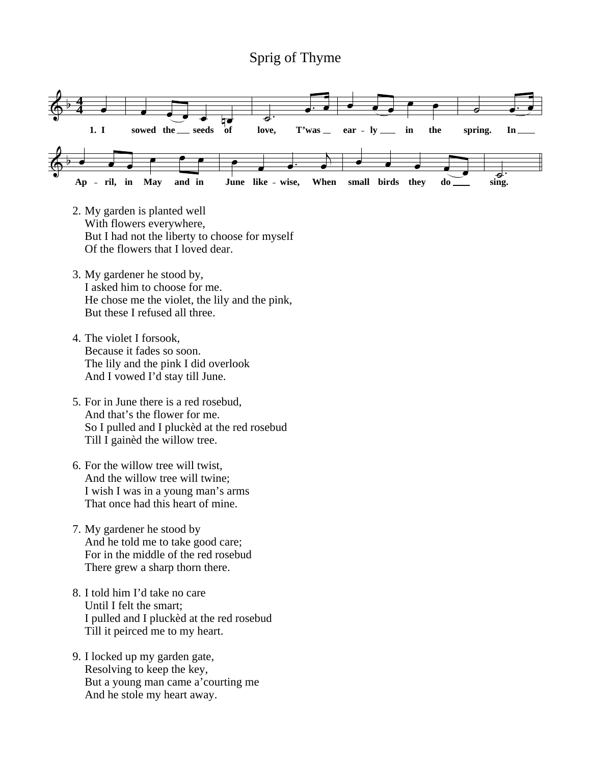## Sprig of Thyme



- 2. My garden is planted well With flowers everywhere, But I had not the liberty to choose for myself Of the flowers that I loved dear.
- 3. My gardener he stood by, I asked him to choose for me. He chose me the violet, the lily and the pink, But these I refused all three.
- 4. The violet I forsook, Because it fades so soon. The lily and the pink I did overlook And I vowed I'd stay till June.
- 5. For in June there is a red rosebud, And that's the flower for me. So I pulled and I pluckèd at the red rosebud Till I gainèd the willow tree.
- 6. For the willow tree will twist, And the willow tree will twine; I wish I was in a young man's arms That once had this heart of mine.
- 7. My gardener he stood by And he told me to take good care; For in the middle of the red rosebud There grew a sharp thorn there.
- 8. I told him I'd take no care Until I felt the smart; I pulled and I pluckèd at the red rosebud Till it peirced me to my heart.
- 9. I locked up my garden gate, Resolving to keep the key, But a young man came a'courting me And he stole my heart away.